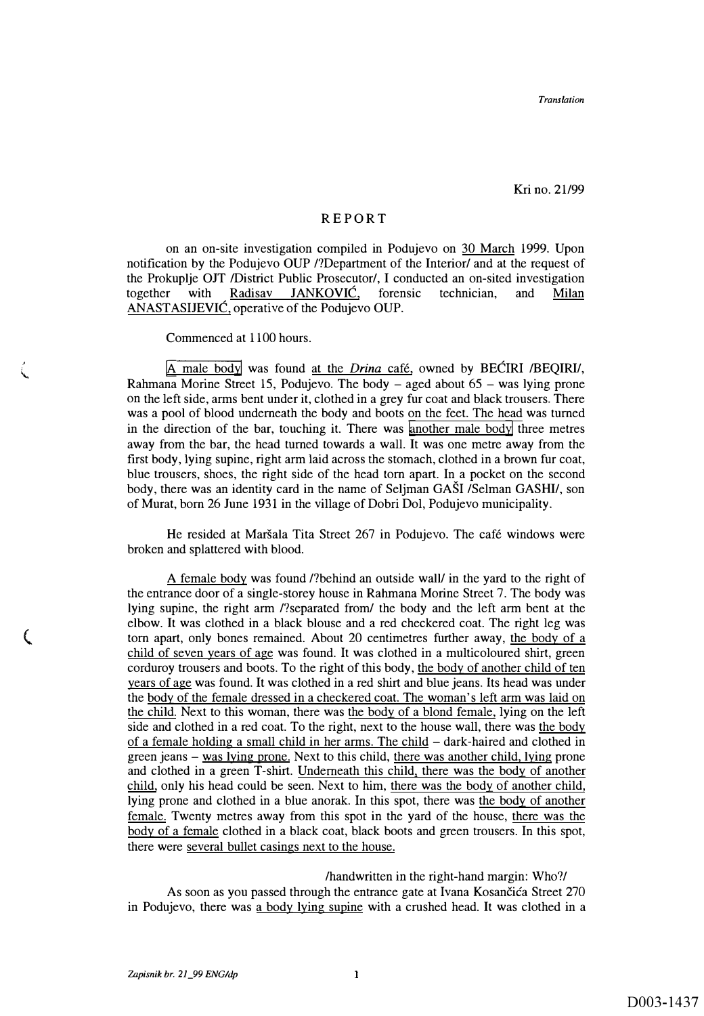Kri no. 21/99

## **REPORT**

on an on-site investigation compiled in Podujevo on 30 March 1999. Upon notification by the Podujevo OUP /?Department of the Interior/ and at the request of the Prokuplje OJT /District Public Prosecutor/, I conducted an on-sited investigation together with Radisav JANKOVIC, forensic technician, and Milan ANASTASIJEVIĆ, operative of the Podujevo OUP.

Commenced at 1100 hours.

IA male bodyl was found at the *Drina* cafe, owned by BECIRI /BEQIRI/, Rahmana Morine Street 15, Podujevo. The body  $-$  aged about 65  $-$  was lying prone on the left side, arms bent under it, clothed in a grey fur coat and black trousers. There was a pool of blood underneath the body and boots on the feet. The head was turned in the direction of the bar, touching it. There was another male body three metres away from the bar, the head turned towards a wall. It was one metre away from the first body, lying supine, right arm laid across the stomach, clothed in a brown fur coat, blue trousers, shoes, the right side of the head tom apart. In a pocket on the second body, there was an identity card in the name of Seljman GASI /Selman GASHI/, son of Murat, born 26 June 1931 in the village of Dobri Dol, Podu jevo municipality.

He resided at Maršala Tita Street 267 in Podujevo. The café windows were broken and splattered with blood.

A female body was found /?behind an outside wall/ in the yard to the right of the entrance door of a single-storey house in Rahmana Morine Street 7. The body was lying supine, the right arm /?separated from/ the body and the left arm bent at the elbow. It was clothed in a black blouse and a red checkered coat. The right leg was tom apart, only bones remained. About 20 centimetres further away, the body of a child of seven years of age was found. It was clothed in a multicoloured shirt, green corduroy trousers and boots. To the right of this body, the body of another child of ten years of age was found. It was clothed in a red shirt and blue jeans. Its head was under the body of the female dressed in a checkered coat. The woman's left arm was laid on the child. Next to this woman, there was the body of a blond female, lying on the left side and clothed in a red coat. To the right, next to the house wall, there was the body of a female holding a small child in her arms. The child - dark-haired and clothed in green jeans – was lying prone. Next to this child, there was another child, lying prone and clothed in a green T-shirt. Underneath this child, there was the body of another child, only his head could be seen. Next to him, there was the body of another child, lying prone and clothed in a blue anorak. In this spot, there was the body of another female. Twenty metres away from this spot in the yard of the house, there was the body of a female clothed in a black coat, black boots and green trousers. In this spot, there were several bullet casings next to the house.

/handwritten in the right-hand margin: Who?/

As soon as you passed through the entrance gate at Ivana Kosančića Street 270 in Podujevo, there was a body lying supine with a crushed head. It was clothed in a

 $\zeta$